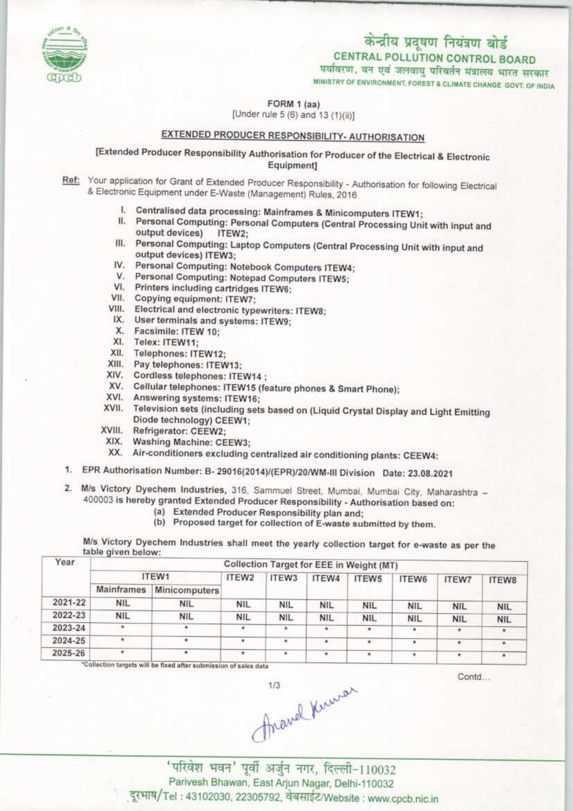

CENTRAL POLLUTION CONTROL BOARD

पर्यावरण, वन एवं जलवायु परिवर्तन मंत्रालय भारत सरकार

MINISTRY OF ENVIRONMENT, FOREST & CLIMATE CHANGE GOVT. OF INDIA

FORM 1 (aa)

[Under rule 5 (6) and 13 (1)(ii)]

## EXTENDED PRODUCER RESPONSIBILITY- AUTHORISATION

[Extended Producer Responsibility Authorisation for Producer of the Electrical & Electronic Equipment]

- Ref: Your application for Grant of Extended Producer Responsibility Authorisation for following Electrical & Electronic Equipment under E-Waste (Management) Rules, 2016
	- I. Centralised data processing: Mainframes & Minicomputers ITEW1;
	- II. Personal Computing: Personal Computers (Central Processing Unit with input and output devices) ITEW2:
	- III. Personal Computing: Laptop Computers (Central Processing Unit with input and output devices) ITEW3;
	- IV. Personal Computing: Notebook Computers ITEW4;
	- V. Personal Computing: Notepad Computers ITEW5;
	- VI. Printers including cartridges ITEW6;
	- VII. Copying equipment: ITEW7:
	- VIII. Electrical and electronic typewriters: ITEW8;
	- IX. User terminals and systems: ITEW9;
	- X. Facsimile: ITEW 10;
	- XI. Telex: ITEW11;
	- XII. Telephones: ITEW12;
	- XIII. Pay telephones: ITEW13;
	- XIV. Cordless telephones: ITEW14 ;
	- XV. Cellular telephones: ITEW15 (feature phones & Smart Phone);
	- XVI. Answering systems: ITEW16;
	- XVII. Television sets (including sets based on (Liquid Crystal Display and Light Emitting Diode technology) CEEW1;
	- XVIII. Refrigerator: CEEW2;
	- XIX. Washing Machine: CEEW3;
	- XX. Air-conditioners excluding centralized air conditioning plants: CEEW4:
- 1. EPR Authorisation Number: B- 29016(2014)/(EPR)/20/WM-III Division Date: 23.08.2021
- 2. M/s Victory Dyechem Industries, 316, Sammuel Street, Mumbai, Mumbai City, Maharashtra -400003 is hereby granted Extended Producer Responsibility - Authorisation based on:
	- (a) Extended Producer Responsibility plan and;
	- (b) Proposed target for collection of E-waste submitted by them.

M/s Victory Dyechem Industries shall meet the yearly collection target for e-waste as per the table given below:

| Collection Target for EEE in Weight (MT) |            |            |               |                              |            |            |              |                          |  |  |
|------------------------------------------|------------|------------|---------------|------------------------------|------------|------------|--------------|--------------------------|--|--|
| ITEW1                                    |            | ITEW2      | ITEW3         | ITEW4                        | ITEW5      | ITEW6      | <b>ITEW7</b> | ITEW8                    |  |  |
| Mainframes                               |            |            |               |                              |            |            |              |                          |  |  |
| NIL.                                     | <b>NIL</b> | <b>NIL</b> | <b>NIL</b>    | <b>NIL</b>                   | <b>NIL</b> | <b>NIL</b> |              | <b>NIL</b>               |  |  |
| <b>NIL</b>                               | <b>NIL</b> | <b>NIL</b> | NIL           | <b>NIL</b>                   | <b>NIL</b> | <b>NIL</b> |              | <b>NIL</b>               |  |  |
| ٠                                        |            |            |               | $\qquad \qquad \blacksquare$ |            |            | $\star$      | ٠                        |  |  |
| ٠                                        |            |            | ۰             | ۰                            |            | ۰          |              |                          |  |  |
| ٠                                        |            | ٠          |               |                              |            |            | ٠            |                          |  |  |
|                                          |            |            | Minicomputers |                              |            |            |              | <b>NIL</b><br><b>NIL</b> |  |  |

will be fixed after submission of sales data

Contri

Anavel Knurar

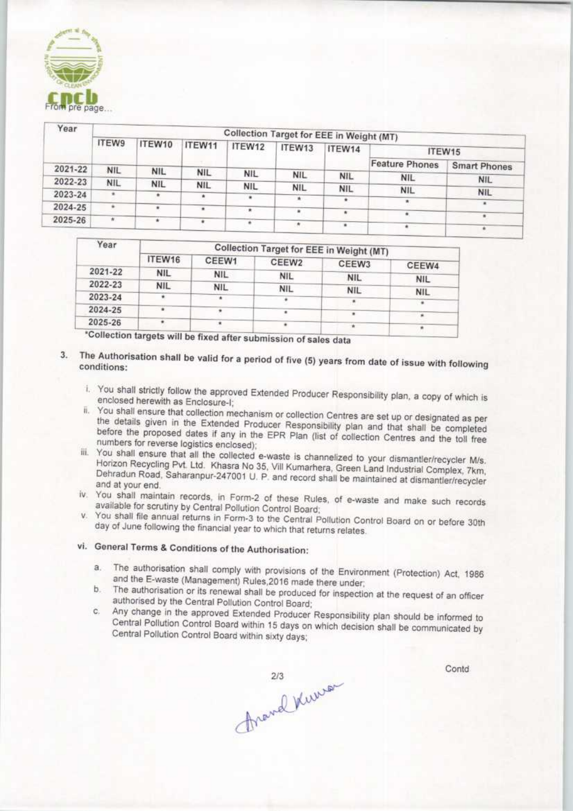

| Year    |              | Collection Target for EEE in Weight (MT) |            |            |            |            |                       |                     |  |  |  |
|---------|--------------|------------------------------------------|------------|------------|------------|------------|-----------------------|---------------------|--|--|--|
|         | <b>ITEW9</b> | ITEW10                                   | ITEW11     | ITEW12     | ITEW13     | ITEW14     | ITEW15                |                     |  |  |  |
| 2021-22 | <b>NIL</b>   |                                          |            |            |            |            | <b>Feature Phones</b> | <b>Smart Phones</b> |  |  |  |
|         |              | <b>NIL</b>                               | <b>NIL</b> | <b>NIL</b> | <b>NIL</b> | <b>NIL</b> | <b>NIL</b>            | <b>NIL</b>          |  |  |  |
| 2022-23 | <b>NIL</b>   | <b>NIL</b>                               | <b>NIL</b> | <b>NIL</b> | <b>NIL</b> | <b>NIL</b> | <b>NIL</b>            |                     |  |  |  |
| 2023-24 |              |                                          |            | ٠          | W.,        |            |                       | <b>NIL</b>          |  |  |  |
| 2024-25 |              | ۰                                        |            |            |            |            |                       | $\cdot$             |  |  |  |
|         | *            |                                          |            |            |            |            | ٠                     |                     |  |  |  |
| 2025-26 |              |                                          |            |            |            |            |                       |                     |  |  |  |

| ITEW16     | CEEW1      | CEEW <sub>2</sub> |            | CEEW4                                                                         |  |  |  |
|------------|------------|-------------------|------------|-------------------------------------------------------------------------------|--|--|--|
| <b>NIL</b> | <b>NIL</b> | <b>NIL</b>        |            |                                                                               |  |  |  |
| <b>NIL</b> | <b>NIL</b> |                   |            | <b>NIL</b>                                                                    |  |  |  |
|            |            |                   |            | <b>NIL</b>                                                                    |  |  |  |
|            |            |                   |            |                                                                               |  |  |  |
|            |            |                   |            |                                                                               |  |  |  |
|            |            |                   | <b>NIL</b> | Collection Target for EEE in Weight (MT)<br>CEEW3<br><b>NIL</b><br><b>NIL</b> |  |  |  |

\*Collection targets will be fixed after submission of sales data

- The Authorisation shall be valid for a period of five (5) years from date of issue with following<br>conditions:  $3.$ conditions:
	- i. You shall strictly follow the approved Extended Producer Responsibility plan, a copy of which is enclosed herewith as Enclosure-I;
	- ii. You shall ensure that collection mechanism or collection Centres are set up or designated as per the details given in the Extended Producer Responsibility plan and that shall be completed before the proposed dates if any in the EPR Plan (list of collection Centres and the toll free numbers for reverse logistics enclosed):
	- iii. You shall ensure that all the collected e-waste is channelized to your dismantler/recycler M/s. Horizon Recycling Pvt. Ltd. Khasra No 35, Vill Kumarhera, Green Land Industrial Complex, 7km, Dehradun Road, Saharanpur-247001 U. P. and record shall be maintained at dismantler/recycler and at your end.
	- iv. You shall maintain records, in Form-2 of these Rules, of e-waste and make such records available for scrutiny by Central Pollution Control Board;
	- '. You shall file annual returns in Form-3 to the Central Pollution Control Board on or before 301h day of June following the financial year to which that returns relates.

## vi. General Terms & Conditions of the Authorisation:

- a. The authorisation shall comply with provisions of the Environment (Protection) Act, 1986 and the E-waste (Management) Rules,2016 made there under;
- The authorisation or its renewal shall be produced for inspection at the request of an officer  $b$ authorised by the Central Pollution Control Board;
- c. Any change in the approved Extended Producer Responsibility plan should be informed to Central Pollution Control Board within 15 days on which decision shall be communicated by Central Pollution Control Board within sixty days;

thravel Kuwa

Contd